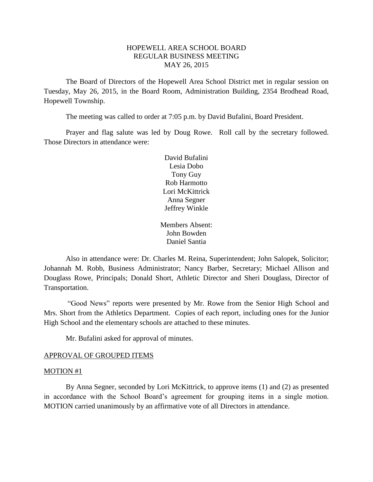# HOPEWELL AREA SCHOOL BOARD REGULAR BUSINESS MEETING MAY 26, 2015

The Board of Directors of the Hopewell Area School District met in regular session on Tuesday, May 26, 2015, in the Board Room, Administration Building, 2354 Brodhead Road, Hopewell Township.

The meeting was called to order at 7:05 p.m. by David Bufalini, Board President.

Prayer and flag salute was led by Doug Rowe. Roll call by the secretary followed. Those Directors in attendance were:

> David Bufalini Lesia Dobo Tony Guy Rob Harmotto Lori McKittrick Anna Segner Jeffrey Winkle

Members Absent: John Bowden Daniel Santia

Also in attendance were: Dr. Charles M. Reina, Superintendent; John Salopek, Solicitor; Johannah M. Robb, Business Administrator; Nancy Barber, Secretary; Michael Allison and Douglass Rowe, Principals; Donald Short, Athletic Director and Sheri Douglass, Director of Transportation.

"Good News" reports were presented by Mr. Rowe from the Senior High School and Mrs. Short from the Athletics Department. Copies of each report, including ones for the Junior High School and the elementary schools are attached to these minutes.

Mr. Bufalini asked for approval of minutes.

#### APPROVAL OF GROUPED ITEMS

#### MOTION #1

By Anna Segner, seconded by Lori McKittrick, to approve items (1) and (2) as presented in accordance with the School Board's agreement for grouping items in a single motion. MOTION carried unanimously by an affirmative vote of all Directors in attendance.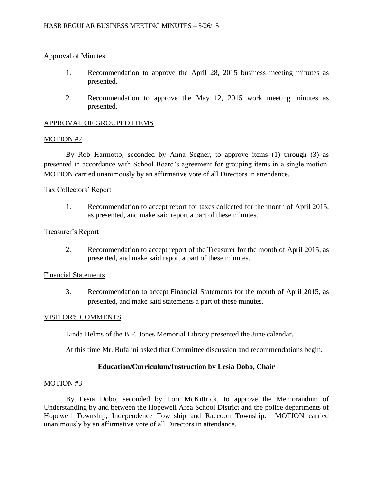## Approval of Minutes

- 1. Recommendation to approve the April 28, 2015 business meeting minutes as presented.
- 2. Recommendation to approve the May 12, 2015 work meeting minutes as presented.

# APPROVAL OF GROUPED ITEMS

### MOTION #2

By Rob Harmotto, seconded by Anna Segner, to approve items (1) through (3) as presented in accordance with School Board's agreement for grouping items in a single motion. MOTION carried unanimously by an affirmative vote of all Directors in attendance.

### Tax Collectors' Report

1. Recommendation to accept report for taxes collected for the month of April 2015, as presented, and make said report a part of these minutes.

### Treasurer's Report

2. Recommendation to accept report of the Treasurer for the month of April 2015, as presented, and make said report a part of these minutes.

### Financial Statements

3. Recommendation to accept Financial Statements for the month of April 2015, as presented, and make said statements a part of these minutes.

#### VISITOR'S COMMENTS

Linda Helms of the B.F. Jones Memorial Library presented the June calendar.

At this time Mr. Bufalini asked that Committee discussion and recommendations begin.

# **Education/Curriculum/Instruction by Lesia Dobo, Chair**

#### MOTION #3

By Lesia Dobo, seconded by Lori McKittrick, to approve the Memorandum of Understanding by and between the Hopewell Area School District and the police departments of Hopewell Township, Independence Township and Raccoon Township. MOTION carried unanimously by an affirmative vote of all Directors in attendance.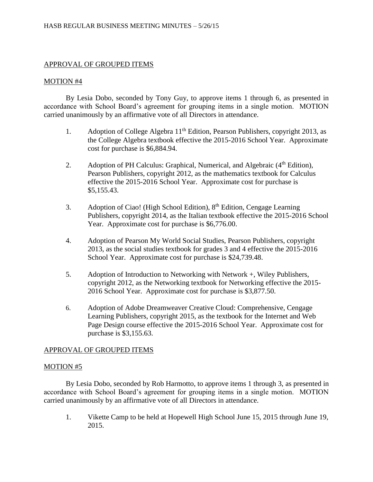# APPROVAL OF GROUPED ITEMS

### MOTION #4

By Lesia Dobo, seconded by Tony Guy, to approve items 1 through 6, as presented in accordance with School Board's agreement for grouping items in a single motion. MOTION carried unanimously by an affirmative vote of all Directors in attendance.

- 1. Adoption of College Algebra 11<sup>th</sup> Edition, Pearson Publishers, copyright 2013, as the College Algebra textbook effective the 2015-2016 School Year. Approximate cost for purchase is \$6,884.94.
- 2. Adoption of PH Calculus: Graphical, Numerical, and Algebraic  $(4<sup>th</sup> Edition)$ , Pearson Publishers, copyright 2012, as the mathematics textbook for Calculus effective the 2015-2016 School Year. Approximate cost for purchase is \$5,155.43.
- 3. Adoption of Ciao! (High School Edition), 8<sup>th</sup> Edition, Cengage Learning Publishers, copyright 2014, as the Italian textbook effective the 2015-2016 School Year. Approximate cost for purchase is \$6,776.00.
- 4. Adoption of Pearson My World Social Studies, Pearson Publishers, copyright 2013, as the social studies textbook for grades 3 and 4 effective the 2015-2016 School Year. Approximate cost for purchase is \$24,739.48.
- 5. Adoption of Introduction to Networking with Network +, Wiley Publishers, copyright 2012, as the Networking textbook for Networking effective the 2015- 2016 School Year. Approximate cost for purchase is \$3,877.50.
- 6. Adoption of Adobe Dreamweaver Creative Cloud: Comprehensive, Cengage Learning Publishers, copyright 2015, as the textbook for the Internet and Web Page Design course effective the 2015-2016 School Year. Approximate cost for purchase is \$3,155.63.

# APPROVAL OF GROUPED ITEMS

# MOTION #5

By Lesia Dobo, seconded by Rob Harmotto, to approve items 1 through 3, as presented in accordance with School Board's agreement for grouping items in a single motion. MOTION carried unanimously by an affirmative vote of all Directors in attendance.

1. Vikette Camp to be held at Hopewell High School June 15, 2015 through June 19, 2015.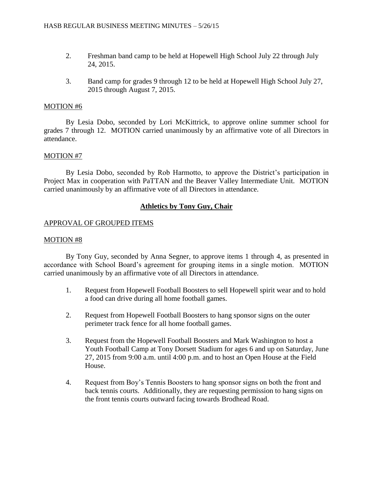- 2. Freshman band camp to be held at Hopewell High School July 22 through July 24, 2015.
- 3. Band camp for grades 9 through 12 to be held at Hopewell High School July 27, 2015 through August 7, 2015.

## MOTION #6

By Lesia Dobo, seconded by Lori McKittrick, to approve online summer school for grades 7 through 12. MOTION carried unanimously by an affirmative vote of all Directors in attendance.

### MOTION #7

By Lesia Dobo, seconded by Rob Harmotto, to approve the District's participation in Project Max in cooperation with PaTTAN and the Beaver Valley Intermediate Unit. MOTION carried unanimously by an affirmative vote of all Directors in attendance.

# **Athletics by Tony Guy, Chair**

### APPROVAL OF GROUPED ITEMS

#### MOTION #8

By Tony Guy, seconded by Anna Segner, to approve items 1 through 4, as presented in accordance with School Board's agreement for grouping items in a single motion. MOTION carried unanimously by an affirmative vote of all Directors in attendance.

- 1. Request from Hopewell Football Boosters to sell Hopewell spirit wear and to hold a food can drive during all home football games.
- 2. Request from Hopewell Football Boosters to hang sponsor signs on the outer perimeter track fence for all home football games.
- 3. Request from the Hopewell Football Boosters and Mark Washington to host a Youth Football Camp at Tony Dorsett Stadium for ages 6 and up on Saturday, June 27, 2015 from 9:00 a.m. until 4:00 p.m. and to host an Open House at the Field House.
- 4. Request from Boy's Tennis Boosters to hang sponsor signs on both the front and back tennis courts. Additionally, they are requesting permission to hang signs on the front tennis courts outward facing towards Brodhead Road.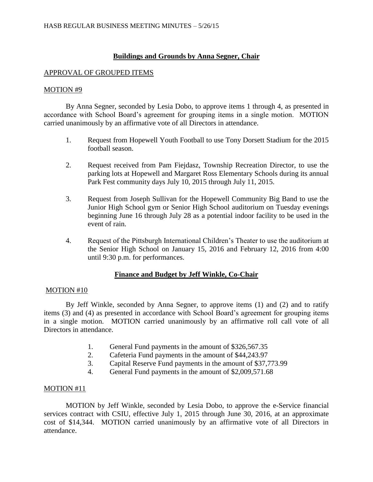# **Buildings and Grounds by Anna Segner, Chair**

## APPROVAL OF GROUPED ITEMS

### MOTION #9

By Anna Segner, seconded by Lesia Dobo, to approve items 1 through 4, as presented in accordance with School Board's agreement for grouping items in a single motion. MOTION carried unanimously by an affirmative vote of all Directors in attendance.

- 1. Request from Hopewell Youth Football to use Tony Dorsett Stadium for the 2015 football season.
- 2. Request received from Pam Fiejdasz, Township Recreation Director, to use the parking lots at Hopewell and Margaret Ross Elementary Schools during its annual Park Fest community days July 10, 2015 through July 11, 2015.
- 3. Request from Joseph Sullivan for the Hopewell Community Big Band to use the Junior High School gym or Senior High School auditorium on Tuesday evenings beginning June 16 through July 28 as a potential indoor facility to be used in the event of rain.
- 4. Request of the Pittsburgh International Children's Theater to use the auditorium at the Senior High School on January 15, 2016 and February 12, 2016 from 4:00 until 9:30 p.m. for performances.

# **Finance and Budget by Jeff Winkle, Co-Chair**

# MOTION #10

By Jeff Winkle, seconded by Anna Segner, to approve items (1) and (2) and to ratify items (3) and (4) as presented in accordance with School Board's agreement for grouping items in a single motion. MOTION carried unanimously by an affirmative roll call vote of all Directors in attendance.

- 1. General Fund payments in the amount of \$326,567.35
- 2. Cafeteria Fund payments in the amount of \$44,243.97
- 3. Capital Reserve Fund payments in the amount of \$37,773.99
- 4. General Fund payments in the amount of \$2,009,571.68

# MOTION #11

MOTION by Jeff Winkle, seconded by Lesia Dobo, to approve the e-Service financial services contract with CSIU, effective July 1, 2015 through June 30, 2016, at an approximate cost of \$14,344. MOTION carried unanimously by an affirmative vote of all Directors in attendance.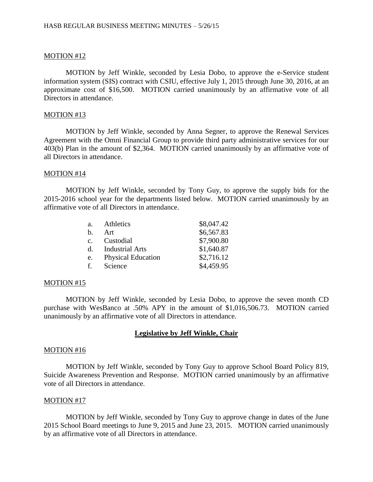#### MOTION #12

MOTION by Jeff Winkle, seconded by Lesia Dobo, to approve the e-Service student information system (SIS) contract with CSIU, effective July 1, 2015 through June 30, 2016, at an approximate cost of \$16,500. MOTION carried unanimously by an affirmative vote of all Directors in attendance.

#### MOTION #13

MOTION by Jeff Winkle, seconded by Anna Segner, to approve the Renewal Services Agreement with the Omni Financial Group to provide third party administrative services for our 403(b) Plan in the amount of \$2,364. MOTION carried unanimously by an affirmative vote of all Directors in attendance.

#### MOTION #14

MOTION by Jeff Winkle, seconded by Tony Guy, to approve the supply bids for the 2015-2016 school year for the departments listed below. MOTION carried unanimously by an affirmative vote of all Directors in attendance.

| a <sub>z</sub> | Athletics                 | \$8,047.42 |
|----------------|---------------------------|------------|
| $h_{\cdot}$    | Art                       | \$6,567.83 |
| C <sub>1</sub> | Custodial                 | \$7,900.80 |
| $d_{-}$        | <b>Industrial Arts</b>    | \$1,640.87 |
| e.             | <b>Physical Education</b> | \$2,716.12 |
| f.             | Science                   | \$4,459.95 |

#### MOTION #15

MOTION by Jeff Winkle, seconded by Lesia Dobo, to approve the seven month CD purchase with WesBanco at .50% APY in the amount of \$1,016,506.73. MOTION carried unanimously by an affirmative vote of all Directors in attendance.

# **Legislative by Jeff Winkle, Chair**

#### MOTION #16

MOTION by Jeff Winkle, seconded by Tony Guy to approve School Board Policy 819, Suicide Awareness Prevention and Response. MOTION carried unanimously by an affirmative vote of all Directors in attendance.

#### MOTION #17

MOTION by Jeff Winkle, seconded by Tony Guy to approve change in dates of the June 2015 School Board meetings to June 9, 2015 and June 23, 2015. MOTION carried unanimously by an affirmative vote of all Directors in attendance.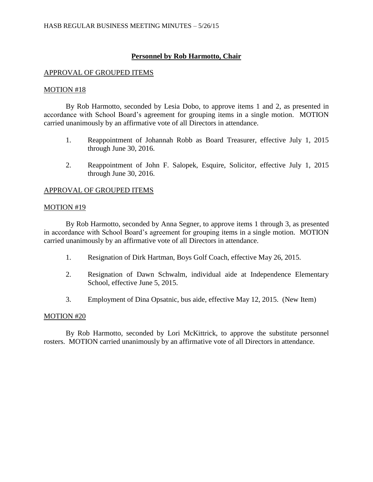# **Personnel by Rob Harmotto, Chair**

## APPROVAL OF GROUPED ITEMS

### MOTION #18

By Rob Harmotto, seconded by Lesia Dobo, to approve items 1 and 2, as presented in accordance with School Board's agreement for grouping items in a single motion. MOTION carried unanimously by an affirmative vote of all Directors in attendance.

- 1. Reappointment of Johannah Robb as Board Treasurer, effective July 1, 2015 through June 30, 2016.
- 2. Reappointment of John F. Salopek, Esquire, Solicitor, effective July 1, 2015 through June 30, 2016.

### APPROVAL OF GROUPED ITEMS

#### MOTION #19

By Rob Harmotto, seconded by Anna Segner, to approve items 1 through 3, as presented in accordance with School Board's agreement for grouping items in a single motion. MOTION carried unanimously by an affirmative vote of all Directors in attendance.

- 1. Resignation of Dirk Hartman, Boys Golf Coach, effective May 26, 2015.
- 2. Resignation of Dawn Schwalm, individual aide at Independence Elementary School, effective June 5, 2015.
- 3. Employment of Dina Opsatnic, bus aide, effective May 12, 2015. (New Item)

# MOTION #20

By Rob Harmotto, seconded by Lori McKittrick, to approve the substitute personnel rosters. MOTION carried unanimously by an affirmative vote of all Directors in attendance.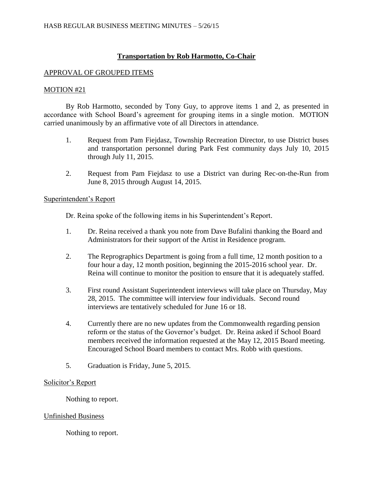# **Transportation by Rob Harmotto, Co-Chair**

# APPROVAL OF GROUPED ITEMS

# MOTION #21

By Rob Harmotto, seconded by Tony Guy, to approve items 1 and 2, as presented in accordance with School Board's agreement for grouping items in a single motion. MOTION carried unanimously by an affirmative vote of all Directors in attendance.

- 1. Request from Pam Fiejdasz, Township Recreation Director, to use District buses and transportation personnel during Park Fest community days July 10, 2015 through July 11, 2015.
- 2. Request from Pam Fiejdasz to use a District van during Rec-on-the-Run from June 8, 2015 through August 14, 2015.

### Superintendent's Report

Dr. Reina spoke of the following items in his Superintendent's Report.

- 1. Dr. Reina received a thank you note from Dave Bufalini thanking the Board and Administrators for their support of the Artist in Residence program.
- 2. The Reprographics Department is going from a full time, 12 month position to a four hour a day, 12 month position, beginning the 2015-2016 school year. Dr. Reina will continue to monitor the position to ensure that it is adequately staffed.
- 3. First round Assistant Superintendent interviews will take place on Thursday, May 28, 2015. The committee will interview four individuals. Second round interviews are tentatively scheduled for June 16 or 18.
- 4. Currently there are no new updates from the Commonwealth regarding pension reform or the status of the Governor's budget. Dr. Reina asked if School Board members received the information requested at the May 12, 2015 Board meeting. Encouraged School Board members to contact Mrs. Robb with questions.
- 5. Graduation is Friday, June 5, 2015.

# Solicitor's Report

Nothing to report.

# Unfinished Business

Nothing to report.